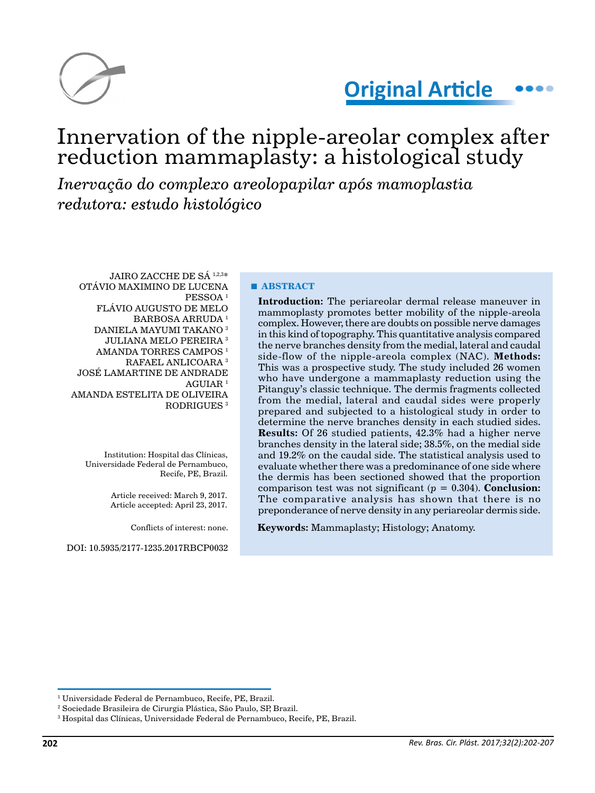

# **Original Article**

## Innervation of the nipple-areolar complex after reduction mammaplasty: a histological study

*Inervação do complexo areolopapilar após mamoplastia redutora: estudo histológico*

JAIRO ZACCHE DE SÁ 1,2,3\* OTÁVIO MAXIMINO DE LUCENA PESSOA 1 FLÁVIO AUGUSTO DE MELO BARBOSA ARRUDA<sup>1</sup> DANIELA MAYUMI TAKANO 3 JULIANA MELO PEREIRA 3 AMANDA TORRES CAMPOS 1 RAFAEL ANLICOARA 3 JOSÉ LAMARTINE DE ANDRADE AGUIAR 1 AMANDA ESTELITA DE OLIVEIRA RODRIGUES 3

Institution: Hospital das Clínicas, Universidade Federal de Pernambuco, Recife, PE, Brazil.

> Article received: March 9, 2017. Article accepted: April 23, 2017.

> > Conflicts of interest: none.

DOI: 10.5935/2177-1235.2017RBCP0032

#### **■ ABSTRACT**

**Introduction:** The periareolar dermal release maneuver in mammoplasty promotes better mobility of the nipple-areola complex. However, there are doubts on possible nerve damages in this kind of topography. This quantitative analysis compared the nerve branches density from the medial, lateral and caudal side-flow of the nipple-areola complex (NAC). **Methods:** This was a prospective study. The study included 26 women who have undergone a mammaplasty reduction using the Pitanguy's classic technique. The dermis fragments collected from the medial, lateral and caudal sides were properly prepared and subjected to a histological study in order to determine the nerve branches density in each studied sides. **Results:** Of 26 studied patients, 42.3% had a higher nerve branches density in the lateral side; 38.5%, on the medial side and 19.2% on the caudal side. The statistical analysis used to evaluate whether there was a predominance of one side where the dermis has been sectioned showed that the proportion comparison test was not significant ( $p = 0.304$ ). **Conclusion:** The comparative analysis has shown that there is no preponderance of nerve density in any periareolar dermis side.

**Keywords:** Mammaplasty; Histology; Anatomy.

<sup>1</sup> Universidade Federal de Pernambuco, Recife, PE, Brazil.

<sup>2</sup> Sociedade Brasileira de Cirurgia Plástica, São Paulo, SP, Brazil.

<sup>3</sup> Hospital das Clínicas, Universidade Federal de Pernambuco, Recife, PE, Brazil.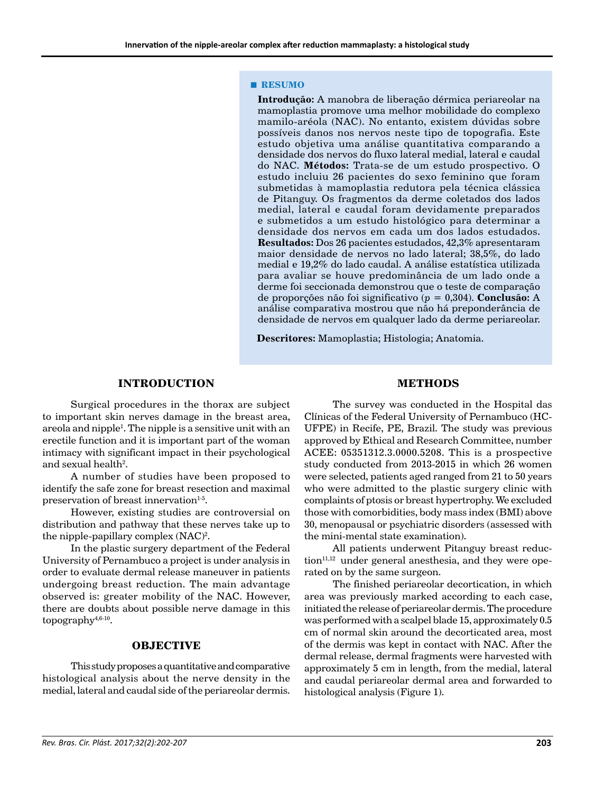#### **■ RESUMO**

**Introdução:** A manobra de liberação dérmica periareolar na mamoplastia promove uma melhor mobilidade do complexo mamilo-aréola (NAC). No entanto, existem dúvidas sobre possíveis danos nos nervos neste tipo de topografia. Este estudo objetiva uma análise quantitativa comparando a densidade dos nervos do fluxo lateral medial, lateral e caudal do NAC. **Métodos:** Trata-se de um estudo prospectivo. O estudo incluiu 26 pacientes do sexo feminino que foram submetidas à mamoplastia redutora pela técnica clássica de Pitanguy. Os fragmentos da derme coletados dos lados medial, lateral e caudal foram devidamente preparados e submetidos a um estudo histológico para determinar a densidade dos nervos em cada um dos lados estudados. **Resultados:** Dos 26 pacientes estudados, 42,3% apresentaram maior densidade de nervos no lado lateral; 38,5%, do lado medial e 19,2% do lado caudal. A análise estatística utilizada para avaliar se houve predominância de um lado onde a derme foi seccionada demonstrou que o teste de comparação de proporções não foi significativo (*p* = 0,304). **Conclusão:** A análise comparativa mostrou que não há preponderância de densidade de nervos em qualquer lado da derme periareolar.

**Descritores:** Mamoplastia; Histologia; Anatomia.

### **INTRODUCTION**

Surgical procedures in the thorax are subject to important skin nerves damage in the breast area, areola and nipple<sup>1</sup>. The nipple is a sensitive unit with an erectile function and it is important part of the woman intimacy with significant impact in their psychological and sexual health $2$ .

A number of studies have been proposed to identify the safe zone for breast resection and maximal preservation of breast innervation $1-5$ .

However, existing studies are controversial on distribution and pathway that these nerves take up to the nipple-papillary complex (NAC)<sup>2</sup>.

In the plastic surgery department of the Federal University of Pernambuco a project is under analysis in order to evaluate dermal release maneuver in patients undergoing breast reduction. The main advantage observed is: greater mobility of the NAC. However, there are doubts about possible nerve damage in this topography $4,6-10$ .

#### **OBJECTIVE**

This study proposes a quantitative and comparative histological analysis about the nerve density in the medial, lateral and caudal side of the periareolar dermis.

#### **METHODS**

The survey was conducted in the Hospital das Clínicas of the Federal University of Pernambuco (HC-UFPE) in Recife, PE, Brazil. The study was previous approved by Ethical and Research Committee, number ACEE: 05351312.3.0000.5208. This is a prospective study conducted from 2013-2015 in which 26 women were selected, patients aged ranged from 21 to 50 years who were admitted to the plastic surgery clinic with complaints of ptosis or breast hypertrophy. We excluded those with comorbidities, body mass index (BMI) above 30, menopausal or psychiatric disorders (assessed with the mini-mental state examination).

All patients underwent Pitanguy breast reduc $tion<sup>11,12</sup>$  under general anesthesia, and they were operated on by the same surgeon.

The finished periareolar decortication, in which area was previously marked according to each case, initiated the release of periareolar dermis. The procedure was performed with a scalpel blade 15, approximately 0.5 cm of normal skin around the decorticated area, most of the dermis was kept in contact with NAC. After the dermal release, dermal fragments were harvested with approximately 5 cm in length, from the medial, lateral and caudal periareolar dermal area and forwarded to histological analysis (Figure 1).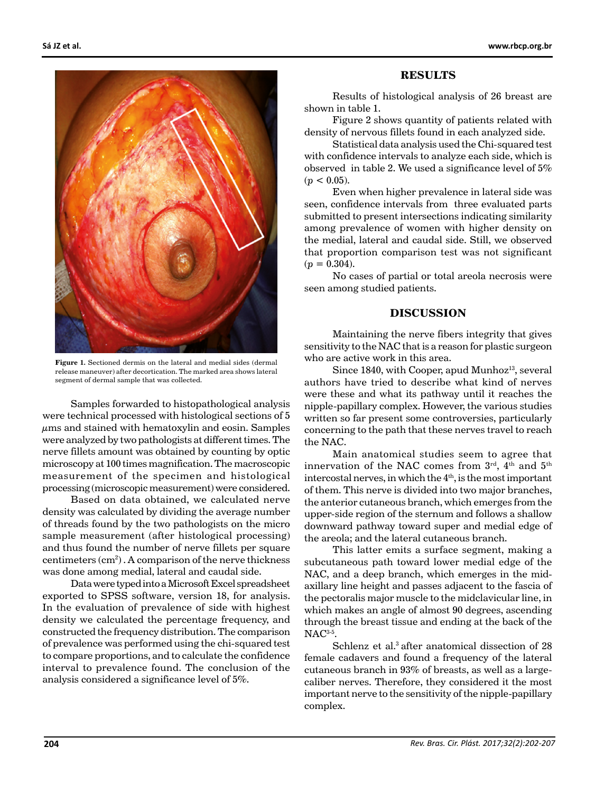

**Figure 1.** Sectioned dermis on the lateral and medial sides (dermal release maneuver) after decortication. The marked area shows lateral segment of dermal sample that was collected.

Samples forwarded to histopathological analysis were technical processed with histological sections of 5  $\mu$ ms and stained with hematoxylin and eosin. Samples were analyzed by two pathologists at different times. The nerve fillets amount was obtained by counting by optic microscopy at 100 times magnification. The macroscopic measurement of the specimen and histological processing (microscopic measurement) were considered.

Based on data obtained, we calculated nerve density was calculated by dividing the average number of threads found by the two pathologists on the micro sample measurement (after histological processing) and thus found the number of nerve fillets per square centimeters  $(cm<sup>2</sup>)$ . A comparison of the nerve thickness was done among medial, lateral and caudal side.

Data were typed into a Microsoft Excel spreadsheet exported to SPSS software, version 18, for analysis. In the evaluation of prevalence of side with highest density we calculated the percentage frequency, and constructed the frequency distribution. The comparison of prevalence was performed using the chi-squared test to compare proportions, and to calculate the confidence interval to prevalence found. The conclusion of the analysis considered a significance level of 5%.

#### **RESULTS**

Results of histological analysis of 26 breast are shown in table 1.

Figure 2 shows quantity of patients related with density of nervous fillets found in each analyzed side.

Statistical data analysis used the Chi-squared test with confidence intervals to analyze each side, which is observed in table 2. We used a significance level of 5%  $(p < 0.05)$ .

Even when higher prevalence in lateral side was seen, confidence intervals from three evaluated parts submitted to present intersections indicating similarity among prevalence of women with higher density on the medial, lateral and caudal side. Still, we observed that proportion comparison test was not significant  $(p = 0.304)$ .

No cases of partial or total areola necrosis were seen among studied patients.

#### **DISCUSSION**

Maintaining the nerve fibers integrity that gives sensitivity to the NAC that is a reason for plastic surgeon who are active work in this area.

Since 1840, with Cooper, apud Munhoz<sup>13</sup>, several authors have tried to describe what kind of nerves were these and what its pathway until it reaches the nipple-papillary complex. However, the various studies written so far present some controversies, particularly concerning to the path that these nerves travel to reach the NAC.

Main anatomical studies seem to agree that innervation of the NAC comes from  $3^{\text{rd}}$ ,  $4^{\text{th}}$  and  $5^{\text{th}}$ intercostal nerves, in which the 4<sup>th</sup>, is the most important of them. This nerve is divided into two major branches, the anterior cutaneous branch, which emerges from the upper-side region of the sternum and follows a shallow downward pathway toward super and medial edge of the areola; and the lateral cutaneous branch.

This latter emits a surface segment, making a subcutaneous path toward lower medial edge of the NAC, and a deep branch, which emerges in the midaxillary line height and passes adjacent to the fascia of the pectoralis major muscle to the midclavicular line, in which makes an angle of almost 90 degrees, ascending through the breast tissue and ending at the back of the NAC<sup>3-5</sup>.

Schlenz et al.<sup>3</sup> after anatomical dissection of 28 female cadavers and found a frequency of the lateral cutaneous branch in 93% of breasts, as well as a largecaliber nerves. Therefore, they considered it the most important nerve to the sensitivity of the nipple-papillary complex.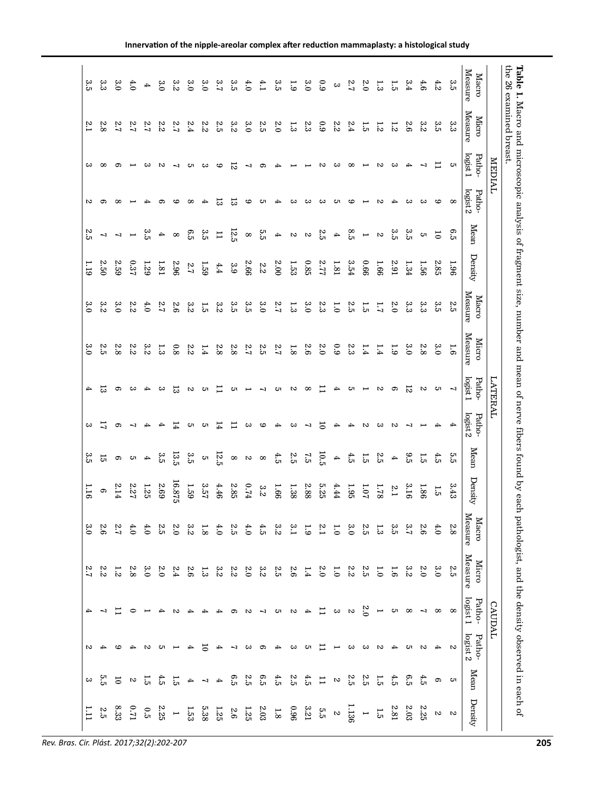| ಜ       | 33<br>3            | 3.0                           | 4.0                   | 4        | $\frac{3}{6}$ | 3.2            | 3.0          | 3.0                      | ي.<br>م        | ვ.<br>ვ        | 4.0                        | f:1            | 3.5              | $\overline{6}$ | 3.0            | 6.9            | $\mathbf{c}\mathbf{c}$ | 2.7      | $\overline{c}$           | 1.3                 | $\vec{5}$        | 3.4           | 4.6     | 4.2                 | 3.5                      | Measure<br>Macro        |                |
|---------|--------------------|-------------------------------|-----------------------|----------|---------------|----------------|--------------|--------------------------|----------------|----------------|----------------------------|----------------|------------------|----------------|----------------|----------------|------------------------|----------|--------------------------|---------------------|------------------|---------------|---------|---------------------|--------------------------|-------------------------|----------------|
| 5.1     | 2.8                | 7.2                           | 2.7                   | 2.7      | 2.2           | 2.2            | 2.4          | 2.2                      | ς,             | 3.2            | 3.0                        | 2.5            | $\mathfrak{c}_0$ | 1.3            | 23             | 6.9            | 2.2                    | 2.4      | 1.5                      | 1.2                 | $\overline{c}$   | 9.6           | 3.2     | 3.5                 | 33<br>33                 | Measure<br><b>Micro</b> |                |
| ౿       | $\infty$           | ີ                             |                       | ట        | N             | ↵              | cπ           | ఴ                        | అ              | 52             | 7                          | ၜ              | ↛                |                |                | $\sim$         | ట                      | $\infty$ |                          | $\sim$              | ట                | ↛             | ٦       |                     | cл                       | logist 1<br>Patho-      | <b>MEDIAL</b>  |
| S       | ငာ                 | $\infty$                      |                       |          |               |                | $^{\circ}$   |                          | ಪ              | ಪ              | అ                          | ্য             |                  | ట              | ఴ              | ౿              | Cл                     | co       |                          | $\sim$              | 4                | ౿             | ౿       | అ                   | $\infty$                 | logist 2<br>Patho-      |                |
| 2.5     | 7                  | $\overline{u}$ $\overline{u}$ |                       | ಬ್ಬ      |               | $\infty$ 4     | 6.5          | 3.5                      | $\overline{1}$ | 12.5           | $\infty$                   | ςa             | $\blacktriangle$ | $\frac{1}{2}$  |                | 2.5            | $\blacktriangle$       | 8.5      | $\overline{\phantom{a}}$ | $\boldsymbol{\sim}$ | 3.5              | ಬೆ            | ς,      | $\overline{5}$      | 6.5                      | Mean                    |                |
| 1.19    | 2.50               | 2.59                          | 0.37                  | 1.29     | 1.81          | 967            | 2.7          | 1.59                     | 4.4            | 3.9            | 2.66                       | $\mathbb{Z}.2$ | 2.00             | 1.53           | 0.85           | 27.77          | 1.81                   | 3.54     | 99.0                     | 1.66                | <b>2.91</b>      | 1.34          | 1.56    | 2.85                | <b>96T</b>               | Density                 |                |
| 3.0     | 3.2                | 3.0                           | 2.2                   | 4.0      | 2.7           | 9.6            | 3.2          | 1.5                      | 3:2            | 3.5            | 3.5                        | 3.0            | 2.7              | 1.3            | 3.0            | 2.3            | $\overline{0}$         | 2.5      | 1.5                      | 1.7                 | $\mathfrak{c}$   | وي<br>و       | 33<br>3 | ვ.<br>ვ             | Σ.<br>Ω                  | Measure<br>Macro        |                |
| ەب<br>ం | $\mathbf{v}$<br>Ċ٦ | 8.8                           | Ņ<br>.<br>N           | లు<br>iv | مهٔ           | $\overline{8}$ | 2.2          | 1.4                      | 2.8            | 2.8            | 2.7                        | Ņ<br>ċπ        | 7.2              | 1.8            | 9.5            | 0.5            | $60^{\circ}$           | 23       | 1.4                      | 1.4                 | $\frac{1}{9}$    | 3.0           | 8.8     | 3.0                 | 1.6                      | Measure<br><b>Micro</b> |                |
| ₳       | ದ                  | ာ                             | ౿                     |          | ట             | ದ              | $\mathbf{v}$ | cл                       |                | cπ             | ۳                          | ↵              | ౮                | Z              | $\infty$       |                |                        | ౮        |                          | N                   | ၜ                | 12            | $\sim$  | cл                  | $\overline{\phantom{0}}$ | Patho-<br>logist 1      | <b>LATERAL</b> |
| ఴ       | 5                  | ຶ                             | ⇥                     |          |               |                | cπ           | cл                       | 14             | $\overline{1}$ | ఴ                          | అ              | 4                | ట              | ◡              | 5              | ↛                      |          | N                        | ౿                   | N                | ↵             |         |                     |                          | logist 2<br>Patho-      |                |
| 3.5     | 15                 | $\circ$                       | ा $\sim$              | 4        | 3.5           | 13.5           | 3.5          | $\mathbf{C}$             | 12.5           |                | $\infty$ $\infty$ $\infty$ |                | 4.5              | 2.5            | $\overline{5}$ | 10.5           | $\blacktriangle$       | 4.5      | 1.5                      | 2.5                 | $\blacktriangle$ | 3.5           | 1.5     | 4.5                 | 5.5                      | Mean                    |                |
| 1.16    | $\circ$            | 2.14                          | 22.2                  | 1.25     | 5.69          | 16.875         | 1.59         | 3.57                     | 4.46           | 2.85           | $\sqrt{4}$                 | 3.2            | 1.66             | 1.38           | 2.88           | 525            | 4.44                   | 1.95     | 1.07                     | 1.78                | 2.1              | 3.16          | 1.86    | 1.5                 | 3.43                     | Density                 |                |
| 3.0     | 2.6                | 2.7                           | 4.0                   | 4.0      | Σ3            | $\overline{c}$ | 3.s          | 1.8                      | 4.0            | ς<br>ν         | 4.0                        | 4.5            | 3.2              | $\frac{3}{1}$  | $\overline{5}$ | $\frac{2}{3}$  | $\overline{0}$         | 3.0      | 2.5                      | 1.3                 | 3.5              | 3.7           | 9.5     | 4.0                 | 2.8                      | Measure<br>Macro        |                |
| 2.7     | Ņ<br>.<br>ما       | $\overline{5}$                | 2.8                   | 3.0      | $\frac{8}{3}$ | 2.4            | 2.6          | 1.3                      | 33<br>23       | 2.2            | $\overline{0}$             | 3.2            | 2.5              | 6.6            | 1.4            | 0.5            | $\overline{0}$         | 2.2      | 2.5                      | $\overline{C}$      | $\overline{9}$   | $\frac{3}{5}$ | 0.5     | $^{3.0}$            | 2.5                      | Measure<br><b>Micro</b> |                |
| ↛       |                    |                               | ⊂                     |          |               | N              |              |                          |                | င္ကာ           | Z                          | ┙              | cπ               | $\sim$         | $\rightarrow$  | ⊟              | ౿                      | $\sim$   | 0.5                      |                     | cл               | $\infty$      | ↵       | $^{\circ}$          | 8                        | logist 1<br>Patho-      | <b>CAUDAL</b>  |
| Z       |                    | cc                            |                       | N        | cл            |                |              | 5                        | ↤              | ↵              | ౿                          | ຶ              | ↛                | ౿              | cл             | ⊟              |                        | ౿        | ఴ                        | $\sim$              | ▲                | cл            | Z       | 4                   | Z                        | logist 2<br>Patho-      |                |
| ౿       | ς<br>Ω             | $\overline{0}$                | $\boldsymbol{\omega}$ | 1.5      | 4.5           | 1.5            | 4            | $\overline{\phantom{a}}$ | 4              | 6.5            | 2.5                        | 6.5            | 4.5              | 2.5            | 4.5            | $\overline{1}$ | $\boldsymbol{\omega}$  | ΣΩ       | 25                       | 1.5                 | 4.5              | 6.5           | 4.5     | G                   | Cл                       | Mean                    |                |
| 111     | $\mathbb{S}$       | 8.33                          | $\overline{L}$        | 0.5      | 2.25          | $\overline{a}$ | 1.53         | 5.38                     | 1.25           | 9.6            | $1.25\,$                   | $2.03\,$       | $1.8\,$          | $96^\circ$     | $12.21\,$      | 5.5            | $\mathbf{c}$           | 1.136    | $\overline{a}$           | $1.5\,$             | $2.81\,$         | $2.03\,$      | 225     | $\boldsymbol{\sim}$ | $\sim$                   | $\mathbf{Densify}$      |                |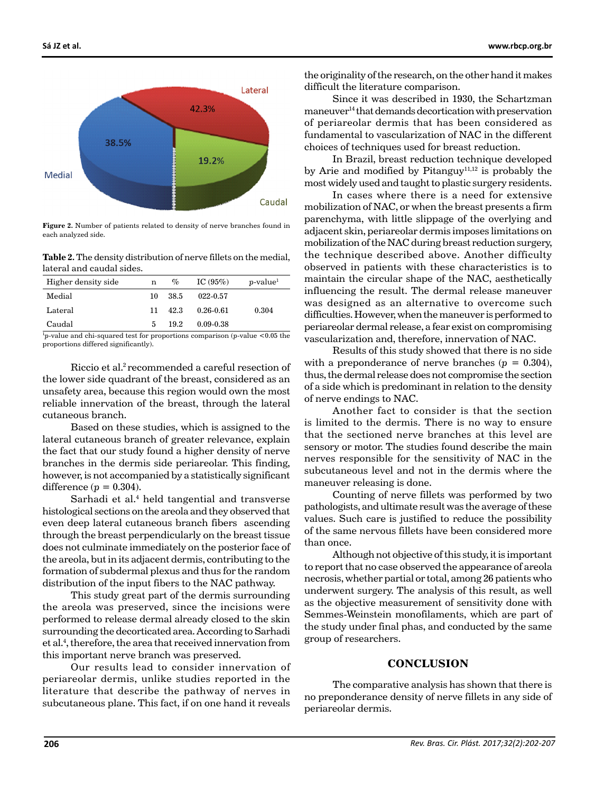

**Figure 2.** Number of patients related to density of nerve branches found in each analyzed side.

**Table 2.** The density distribution of nerve fillets on the medial, lateral and caudal sides.

| Higher density side | n  | $\%$  | IC $(95\%)$   | $p$ -value <sup>1</sup> |
|---------------------|----|-------|---------------|-------------------------|
| Medial              | 10 | -38.5 | 022-0.57      |                         |
| Lateral             | 11 | 42.3  | $0.26 - 0.61$ | 0.304                   |
| Caudal              | 5. | 19.2  | $0.09 - 0.38$ |                         |

1 *p*-value and chi-squared test for proportions comparison (*p*-value <0.05 the proportions differed significantly).

Riccio et al.2 recommended a careful resection of the lower side quadrant of the breast, considered as an unsafety area, because this region would own the most reliable innervation of the breast, through the lateral cutaneous branch.

Based on these studies, which is assigned to the lateral cutaneous branch of greater relevance, explain the fact that our study found a higher density of nerve branches in the dermis side periareolar. This finding, however, is not accompanied by a statistically significant difference  $(p = 0.304)$ .

Sarhadi et al.4 held tangential and transverse histological sections on the areola and they observed that even deep lateral cutaneous branch fibers ascending through the breast perpendicularly on the breast tissue does not culminate immediately on the posterior face of the areola, but in its adjacent dermis, contributing to the formation of subdermal plexus and thus for the random distribution of the input fibers to the NAC pathway.

This study great part of the dermis surrounding the areola was preserved, since the incisions were performed to release dermal already closed to the skin surrounding the decorticated area. According to Sarhadi et al.4 , therefore, the area that received innervation from this important nerve branch was preserved.

Our results lead to consider innervation of periareolar dermis, unlike studies reported in the literature that describe the pathway of nerves in subcutaneous plane. This fact, if on one hand it reveals

**Sá JZ et al. www.rbcp.org.br**

the originality of the research, on the other hand it makes difficult the literature comparison.

Since it was described in 1930, the Schartzman maneuver14 that demands decortication with preservation of periareolar dermis that has been considered as fundamental to vascularization of NAC in the different choices of techniques used for breast reduction.

In Brazil, breast reduction technique developed by Arie and modified by Pitanguy<sup>11,12</sup> is probably the most widely used and taught to plastic surgery residents.

In cases where there is a need for extensive mobilization of NAC, or when the breast presents a firm parenchyma, with little slippage of the overlying and adjacent skin, periareolar dermis imposes limitations on mobilization of the NAC during breast reduction surgery, the technique described above. Another difficulty observed in patients with these characteristics is to maintain the circular shape of the NAC, aesthetically influencing the result. The dermal release maneuver was designed as an alternative to overcome such difficulties. However, when the maneuver is performed to periareolar dermal release, a fear exist on compromising vascularization and, therefore, innervation of NAC.

Results of this study showed that there is no side with a preponderance of nerve branches  $(p = 0.304)$ , thus, the dermal release does not compromise the section of a side which is predominant in relation to the density of nerve endings to NAC.

Another fact to consider is that the section is limited to the dermis. There is no way to ensure that the sectioned nerve branches at this level are sensory or motor. The studies found describe the main nerves responsible for the sensitivity of NAC in the subcutaneous level and not in the dermis where the maneuver releasing is done.

Counting of nerve fillets was performed by two pathologists, and ultimate result was the average of these values. Such care is justified to reduce the possibility of the same nervous fillets have been considered more than once.

Although not objective of this study, it is important to report that no case observed the appearance of areola necrosis, whether partial or total, among 26 patients who underwent surgery. The analysis of this result, as well as the objective measurement of sensitivity done with Semmes-Weinstein monofilaments, which are part of the study under final phas, and conducted by the same group of researchers.

#### **CONCLUSION**

The comparative analysis has shown that there is no preponderance density of nerve fillets in any side of periareolar dermis.